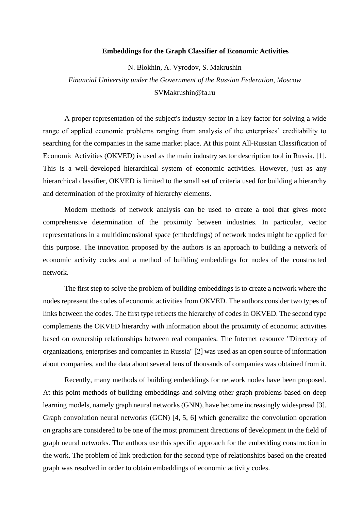## **Embeddings for the Graph Classifier of Economic Activities**

N. Blokhin, A. Vyrodov, S. Makrushin *Financial University under the Government of the Russian Federation, Moscow* SVMakrushi[n@fa.ru](mailto:@fa.ru)

A proper representation of the subject's industry sector in a key factor for solving a wide range of applied economic problems ranging from analysis of the enterprises' creditability to searching for the companies in the same market place. At this point All-Russian Classification of Economic Activities (OKVED) is used as the main industry sector description tool in Russia. [1]. This is a well-developed hierarchical system of economic activities. However, just as any hierarchical classifier, OKVED is limited to the small set of criteria used for building a hierarchy and determination of the proximity of hierarchy elements.

Modern methods of network analysis can be used to create a tool that gives more comprehensive determination of the proximity between industries. In particular, vector representations in a multidimensional space (embeddings) of network nodes might be applied for this purpose. The innovation proposed by the authors is an approach to building a network of economic activity codes and a method of building embeddings for nodes of the constructed network.

The first step to solve the problem of building embeddings is to create a network where the nodes represent the codes of economic activities from OKVED. The authors consider two types of links between the codes. The first type reflects the hierarchy of codes in OKVED. The second type complements the OKVED hierarchy with information about the proximity of economic activities based on ownership relationships between real companies. The Internet resource "Directory of organizations, enterprises and companies in Russia" [2] was used as an open source of information about companies, and the data about several tens of thousands of companies was obtained from it.

Recently, many methods of building embeddings for network nodes have been proposed. At this point methods of building embeddings and solving other graph problems based on deep learning models, namely graph neural networks (GNN), have become increasingly widespread [3]. Graph convolution neural networks (GCN) [4, 5, 6] which generalize the convolution operation on graphs are considered to be one of the most prominent directions of development in the field of graph neural networks. The authors use this specific approach for the embedding construction in the work. The problem of link prediction for the second type of relationships based on the created graph was resolved in order to obtain embeddings of economic activity codes.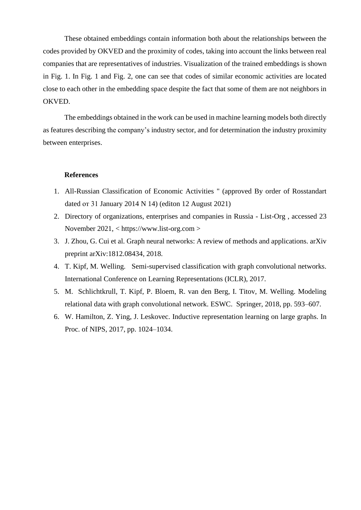These obtained embeddings contain information both about the relationships between the codes provided by OKVED and the proximity of codes, taking into account the links between real companies that are representatives of industries. Visualization of the trained embeddings is shown in Fig. 1. In Fig. 1 and Fig. 2, one can see that codes of similar economic activities are located close to each other in the embedding space despite the fact that some of them are not neighbors in OKVED.

The embeddings obtained in the work can be used in machine learning models both directly as features describing the company's industry sector, and for determination the industry proximity between enterprises.

## **References**

- 1. All-Russian Classification of Economic Activities " (approved By order of Rosstandart dated от 31 January 2014 N 14) (editon 12 August 2021)
- 2. Directory of organizations, enterprises and companies in Russia List-Org , accessed 23 November 2021, < https://www.list-org.com >
- 3. J. Zhou, G. Cui et al. Graph neural networks: A review of methods and applications. arXiv preprint arXiv:1812.08434, 2018.
- 4. T. Kipf, M. Welling. Semi-supervised classification with graph convolutional networks. International Conference on Learning Representations (ICLR), 2017.
- 5. M. Schlichtkrull, T. Kipf, P. Bloem, R. van den Berg, I. Titov, M. Welling. Modeling relational data with graph convolutional network. ESWC. Springer, 2018, pp. 593–607.
- 6. W. Hamilton, Z. Ying, J. Leskovec. Inductive representation learning on large graphs. In Proc. of NIPS, 2017, pp. 1024–1034.